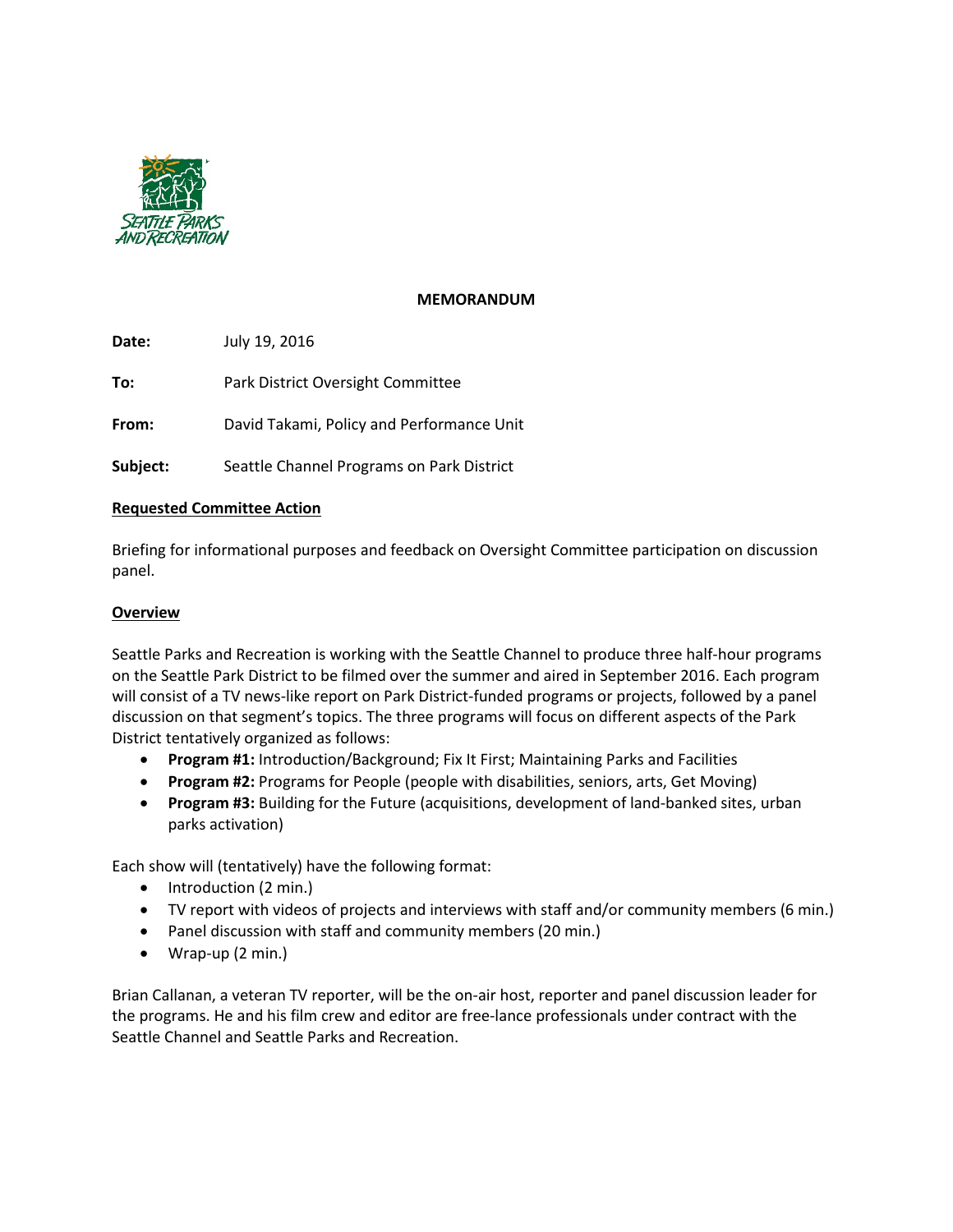

## **MEMORANDUM**

**Date:** July 19, 2016

**To:** Park District Oversight Committee

**From:** David Takami, Policy and Performance Unit

**Subject:** Seattle Channel Programs on Park District

### **Requested Committee Action**

Briefing for informational purposes and feedback on Oversight Committee participation on discussion panel.

# **Overview**

Seattle Parks and Recreation is working with the Seattle Channel to produce three half-hour programs on the Seattle Park District to be filmed over the summer and aired in September 2016. Each program will consist of a TV news-like report on Park District-funded programs or projects, followed by a panel discussion on that segment's topics. The three programs will focus on different aspects of the Park District tentatively organized as follows:

- **Program #1:** Introduction/Background; Fix It First; Maintaining Parks and Facilities
- **Program #2:** Programs for People (people with disabilities, seniors, arts, Get Moving)
- **Program #3:** Building for the Future (acquisitions, development of land-banked sites, urban parks activation)

Each show will (tentatively) have the following format:

- Introduction (2 min.)
- TV report with videos of projects and interviews with staff and/or community members (6 min.)
- Panel discussion with staff and community members (20 min.)
- Wrap-up (2 min.)

Brian Callanan, a veteran TV reporter, will be the on-air host, reporter and panel discussion leader for the programs. He and his film crew and editor are free-lance professionals under contract with the Seattle Channel and Seattle Parks and Recreation.